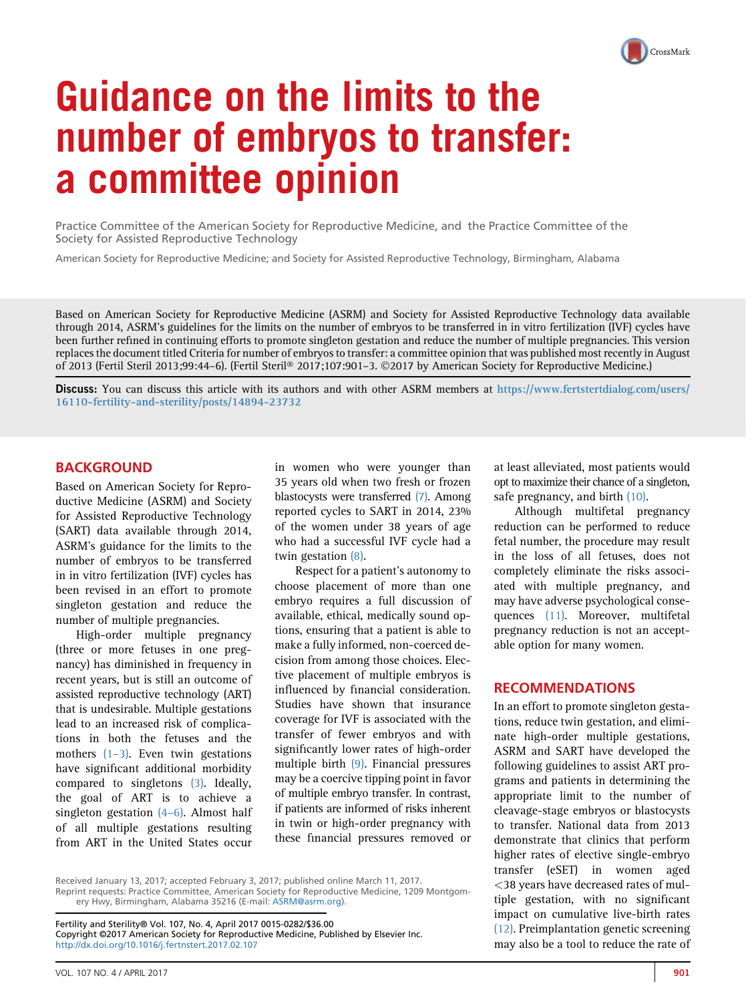

# Guidance on the limits to the number of embryos to transfer: a committee opinion

Practice Committee of the American Society for Reproductive Medicine, and the Practice Committee of the Society for Assisted Reproductive Technology

American Society for Reproductive Medicine; and Society for Assisted Reproductive Technology, Birmingham, Alabama

Based on American Society for Reproductive Medicine (ASRM) and Society for Assisted Reproductive Technology data available through 2014, ASRM's guidelines for the limits on the number of embryos to be transferred in in vitro fertilization (IVF) cycles have been further refined in continuing efforts to promote singleton gestation and reduce the number of multiple pregnancies. This version replaces the document titled Criteria for number of embryos to transfer: a committee opinion that was published most recently in August of 2013 (Fertil Steril 2013;99:44-6). (Fertil Steril® 2017;107:901-3. ©2017 by American Society for Reproductive Medicine.)

Discuss: You can discuss this article with its authors and with other ASRM members at [https://www.fertstertdialog.com/users/](https://www.fertstertdialog.com/users/16110-fertility-and-sterility/posts/14894-23732) [16110-fertility-and-sterility/posts/14894-23732](https://www.fertstertdialog.com/users/16110-fertility-and-sterility/posts/14894-23732)

#### BACKGROUND

Based on American Society for Reproductive Medicine (ASRM) and Society for Assisted Reproductive Technology (SART) data available through 2014, ASRM's guidance for the limits to the number of embryos to be transferred in in vitro fertilization (IVF) cycles has been revised in an effort to promote singleton gestation and reduce the number of multiple pregnancies.

High-order multiple pregnancy (three or more fetuses in one pregnancy) has diminished in frequency in recent years, but is still an outcome of assisted reproductive technology (ART) that is undesirable. Multiple gestations lead to an increased risk of complications in both the fetuses and the mothers  $(1-3)$  $(1-3)$ . Even twin gestations have significant additional morbidity compared to singletons [\(3\)](#page-2-0). Ideally, the goal of ART is to achieve a singleton gestation (4–[6\).](#page-2-0) Almost half of all multiple gestations resulting from ART in the United States occur

in women who were younger than 35 years old when two fresh or frozen blastocysts were transferred [\(7\)](#page-2-0). Among reported cycles to SART in 2014, 23% of the women under 38 years of age who had a successful IVF cycle had a twin gestation [\(8\).](#page-2-0)

Respect for a patient's autonomy to choose placement of more than one embryo requires a full discussion of available, ethical, medically sound options, ensuring that a patient is able to make a fully informed, non-coerced decision from among those choices. Elective placement of multiple embryos is influenced by financial consideration. Studies have shown that insurance coverage for IVF is associated with the transfer of fewer embryos and with significantly lower rates of high-order multiple birth [\(9\)](#page-2-0). Financial pressures may be a coercive tipping point in favor of multiple embryo transfer. In contrast, if patients are informed of risks inherent in twin or high-order pregnancy with these financial pressures removed or

at least alleviated, most patients would opt to maximize their chance of a singleton, safe pregnancy, and birth [\(10\).](#page-2-0)

Although multifetal pregnancy reduction can be performed to reduce fetal number, the procedure may result in the loss of all fetuses, does not completely eliminate the risks associated with multiple pregnancy, and may have adverse psychological consequences [\(11\)](#page-2-0). Moreover, multifetal pregnancy reduction is not an acceptable option for many women.

#### RECOMMENDATIONS

In an effort to promote singleton gestations, reduce twin gestation, and eliminate high-order multiple gestations, ASRM and SART have developed the following guidelines to assist ART programs and patients in determining the appropriate limit to the number of cleavage-stage embryos or blastocysts to transfer. National data from 2013 demonstrate that clinics that perform higher rates of elective single-embryo transfer (eSET) in women aged <38 years have decreased rates of multiple gestation, with no significant impact on cumulative live-birth rates [\(12\)](#page-2-0). Preimplantation genetic screening may also be a tool to reduce the rate of

Received January 13, 2017; accepted February 3, 2017; published online March 11, 2017.

Reprint requests: Practice Committee, American Society for Reproductive Medicine, 1209 Montgomery Hwy, Birmingham, Alabama 35216 (E-mail: [ASRM@asrm.org\)](mailto:ASRM@asrm.org).

Fertility and Sterility® Vol. 107, No. 4, April 2017 0015-0282/\$36.00 Copyright ©2017 American Society for Reproductive Medicine, Published by Elsevier Inc. <http://dx.doi.org/10.1016/j.fertnstert.2017.02.107>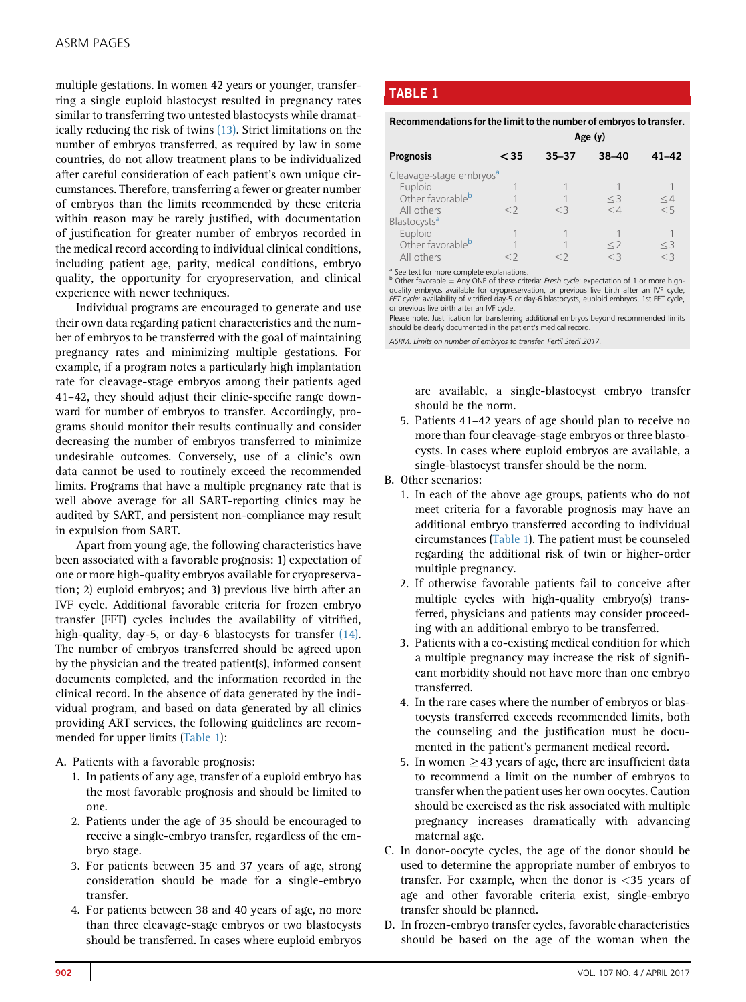multiple gestations. In women 42 years or younger, transferring a single euploid blastocyst resulted in pregnancy rates similar to transferring two untested blastocysts while dramatically reducing the risk of twins [\(13\)](#page-2-0). Strict limitations on the number of embryos transferred, as required by law in some countries, do not allow treatment plans to be individualized after careful consideration of each patient's own unique circumstances. Therefore, transferring a fewer or greater number of embryos than the limits recommended by these criteria within reason may be rarely justified, with documentation of justification for greater number of embryos recorded in the medical record according to individual clinical conditions, including patient age, parity, medical conditions, embryo quality, the opportunity for cryopreservation, and clinical experience with newer techniques.

Individual programs are encouraged to generate and use their own data regarding patient characteristics and the number of embryos to be transferred with the goal of maintaining pregnancy rates and minimizing multiple gestations. For example, if a program notes a particularly high implantation rate for cleavage-stage embryos among their patients aged 41–42, they should adjust their clinic-specific range downward for number of embryos to transfer. Accordingly, programs should monitor their results continually and consider decreasing the number of embryos transferred to minimize undesirable outcomes. Conversely, use of a clinic's own data cannot be used to routinely exceed the recommended limits. Programs that have a multiple pregnancy rate that is well above average for all SART-reporting clinics may be audited by SART, and persistent non-compliance may result in expulsion from SART.

Apart from young age, the following characteristics have been associated with a favorable prognosis: 1) expectation of one or more high-quality embryos available for cryopreservation; 2) euploid embryos; and 3) previous live birth after an IVF cycle. Additional favorable criteria for frozen embryo transfer (FET) cycles includes the availability of vitrified, high-quality, day-5, or day-6 blastocysts for transfer [\(14\).](#page-2-0) The number of embryos transferred should be agreed upon by the physician and the treated patient(s), informed consent documents completed, and the information recorded in the clinical record. In the absence of data generated by the individual program, and based on data generated by all clinics providing ART services, the following guidelines are recommended for upper limits (Table 1):

A. Patients with a favorable prognosis:

- 1. In patients of any age, transfer of a euploid embryo has the most favorable prognosis and should be limited to one.
- 2. Patients under the age of 35 should be encouraged to receive a single-embryo transfer, regardless of the embryo stage.
- 3. For patients between 35 and 37 years of age, strong consideration should be made for a single-embryo transfer.
- 4. For patients between 38 and 40 years of age, no more than three cleavage-stage embryos or two blastocysts should be transferred. In cases where euploid embryos

### TABLE 1

Recommendations for the limit to the number of embryos to transfer.

|                                     | Age (y) |           |           |           |
|-------------------------------------|---------|-----------|-----------|-----------|
| <b>Prognosis</b>                    | $35$    | $35 - 37$ | $38 - 40$ | $41 - 42$ |
| Cleavage-stage embryos <sup>a</sup> |         |           |           |           |
| Euploid                             |         |           |           |           |
| Other favorable <sup>b</sup>        |         |           | $<$ 3     | $\leq$ 4  |
| All others                          | $<$ 2   | $\leq$ 3  | $<$ 4     | < 5       |
| Blastocysts <sup>a</sup>            |         |           |           |           |
| Euploid                             |         |           |           |           |
| Other favorable <sup>b</sup>        |         |           | $\leq$ 2  | <3        |
| All others                          | ≤ )     | ≤7        | <3        | ≤3        |

<sup>a</sup> See text for more complete explanations.<br><sup>b</sup> Other favorable = Any ONE of these criteria: *Fresh cycle*: expectation of 1 or more highquality embryos available for cryopreservation, or previous live birth after an IVF cycle; FET cycle: availability of vitrified day-5 or day-6 blastocysts, euploid embryos, 1st FET cycle, or previous live birth after an IVF cycle.

Please note: Justification for transferring additional embryos beyond recommended limits should be clearly documented in the patient's medical record.

ASRM. Limits on number of embryos to transfer. Fertil Steril 2017.

are available, a single-blastocyst embryo transfer should be the norm.

- 5. Patients 41–42 years of age should plan to receive no more than four cleavage-stage embryos or three blastocysts. In cases where euploid embryos are available, a single-blastocyst transfer should be the norm.
- B. Other scenarios:
	- 1. In each of the above age groups, patients who do not meet criteria for a favorable prognosis may have an additional embryo transferred according to individual circumstances (Table 1). The patient must be counseled regarding the additional risk of twin or higher-order multiple pregnancy.
	- 2. If otherwise favorable patients fail to conceive after multiple cycles with high-quality embryo(s) transferred, physicians and patients may consider proceeding with an additional embryo to be transferred.
	- 3. Patients with a co-existing medical condition for which a multiple pregnancy may increase the risk of significant morbidity should not have more than one embryo transferred.
	- 4. In the rare cases where the number of embryos or blastocysts transferred exceeds recommended limits, both the counseling and the justification must be documented in the patient's permanent medical record.
	- 5. In women  $\geq$  43 years of age, there are insufficient data to recommend a limit on the number of embryos to transfer when the patient uses her own oocytes. Caution should be exercised as the risk associated with multiple pregnancy increases dramatically with advancing maternal age.
- C. In donor-oocyte cycles, the age of the donor should be used to determine the appropriate number of embryos to transfer. For example, when the donor is <35 years of age and other favorable criteria exist, single-embryo transfer should be planned.
- D. In frozen-embryo transfer cycles, favorable characteristics should be based on the age of the woman when the